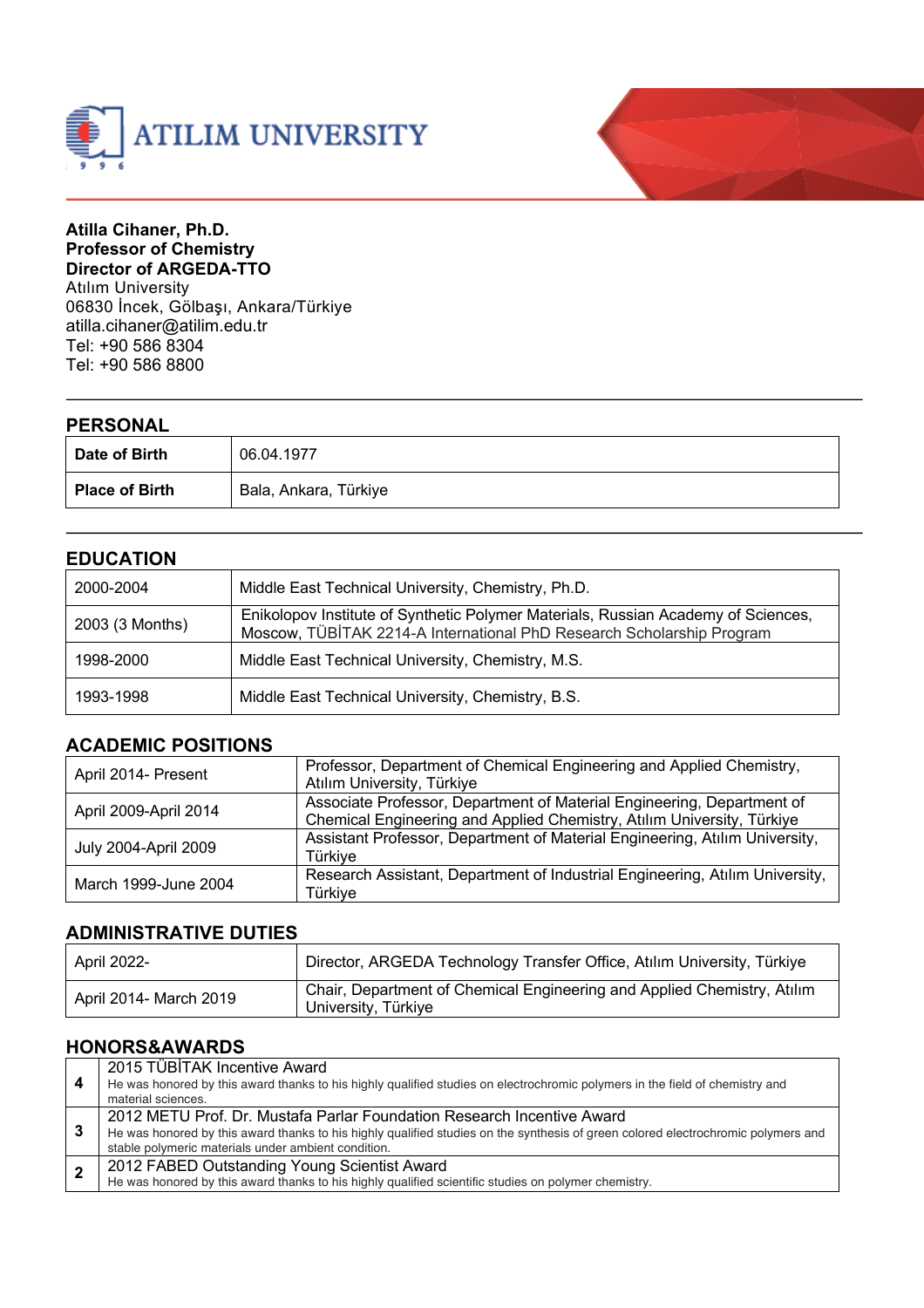



#### **Atilla Cihaner, Ph.D. Professor of Chemistry Director of ARGEDA-TTO** Atılım University 06830 İncek, Gölbaşı, Ankara/Türkiye atilla.cihaner@atilim.edu.tr Tel: +90 586 8304 Tel: +90 586 8800

| <b>PERSONAL</b>       |                       |
|-----------------------|-----------------------|
| Date of Birth         | 06.04.1977            |
| <b>Place of Birth</b> | Bala, Ankara, Türkiye |

### **EDUCATION**

| 2000-2004       | Middle East Technical University, Chemistry, Ph.D.                                                                                                         |
|-----------------|------------------------------------------------------------------------------------------------------------------------------------------------------------|
| 2003 (3 Months) | Enikolopov Institute of Synthetic Polymer Materials, Russian Academy of Sciences,<br>Moscow, TÜBİTAK 2214-A International PhD Research Scholarship Program |
| 1998-2000       | Middle East Technical University, Chemistry, M.S.                                                                                                          |
| 1993-1998       | Middle East Technical University, Chemistry, B.S.                                                                                                          |

#### **ACADEMIC POSITIONS**

| April 2014- Present   | Professor, Department of Chemical Engineering and Applied Chemistry,<br>Atılım University, Türkiye                                               |
|-----------------------|--------------------------------------------------------------------------------------------------------------------------------------------------|
| April 2009-April 2014 | Associate Professor, Department of Material Engineering, Department of<br>Chemical Engineering and Applied Chemistry, Atılım University, Türkiye |
| July 2004-April 2009  | Assistant Professor, Department of Material Engineering, Atılım University,<br>Türkive                                                           |
| March 1999-June 2004  | Research Assistant, Department of Industrial Engineering, Atılım University,<br>Türkiye                                                          |

#### **ADMINISTRATIVE DUTIES**

| <b>April 2022-</b>     | Director, ARGEDA Technology Transfer Office, Atılım University, Türkiye                        |
|------------------------|------------------------------------------------------------------------------------------------|
| April 2014- March 2019 | Chair, Department of Chemical Engineering and Applied Chemistry, Atılım<br>University, Türkiye |

#### **HONORS&AWARDS**

| -4             | 2015 TÜBİTAK Incentive Award<br>He was honored by this award thanks to his highly qualified studies on electrochromic polymers in the field of chemistry and<br>material sciences.                                                                                 |
|----------------|--------------------------------------------------------------------------------------------------------------------------------------------------------------------------------------------------------------------------------------------------------------------|
| - 3            | 2012 METU Prof. Dr. Mustafa Parlar Foundation Research Incentive Award<br>He was honored by this award thanks to his highly qualified studies on the synthesis of green colored electrochromic polymers and<br>stable polymeric materials under ambient condition. |
| $\overline{2}$ | 2012 FABED Outstanding Young Scientist Award<br>He was honored by this award thanks to his highly qualified scientific studies on polymer chemistry.                                                                                                               |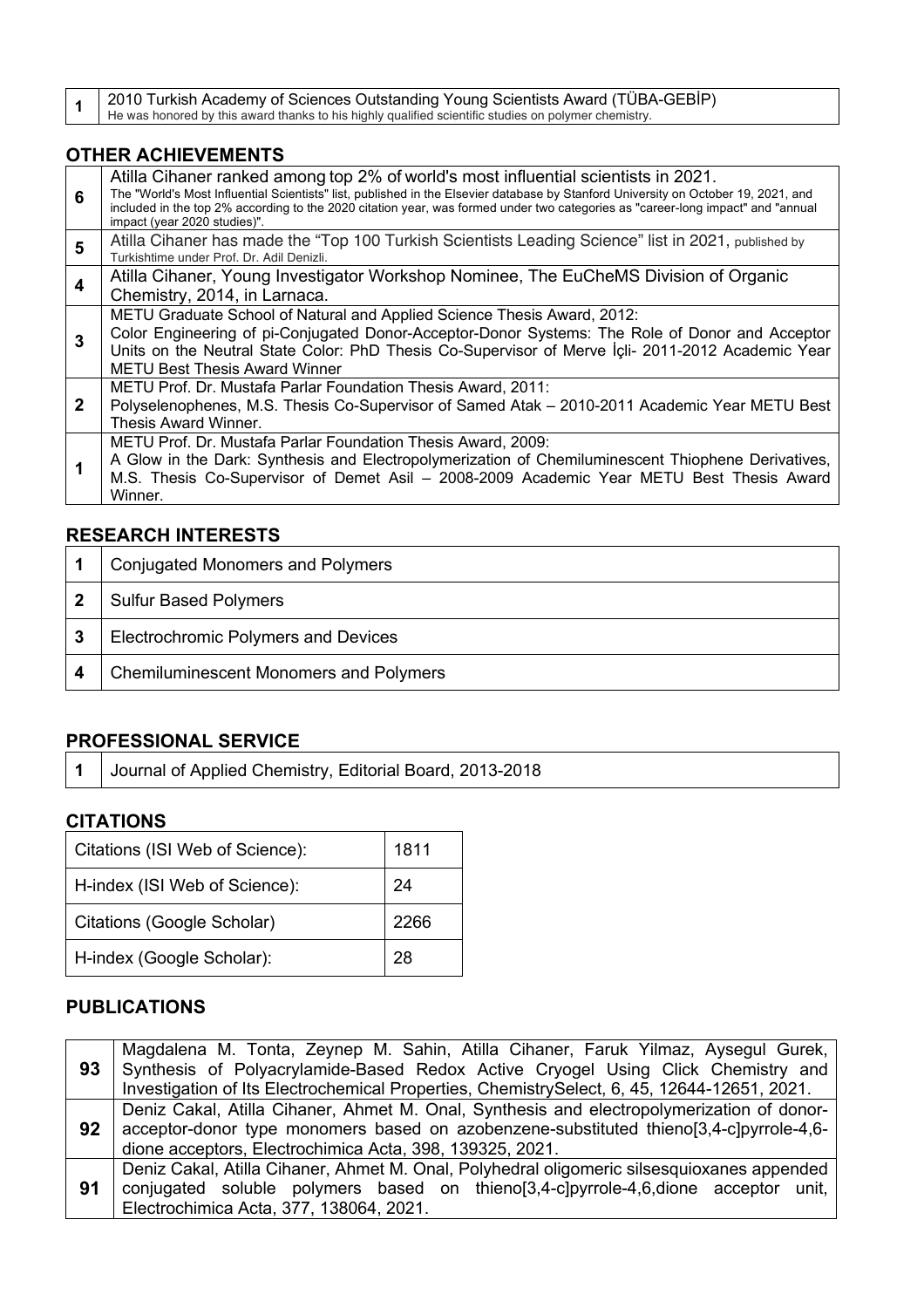**1** 2010 Turkish Academy of Sciences Outstanding Young Scientists Award (TÜBA-GEBİP)<br>He was honored by this award thanks to his highly qualified scientific studies on polymer chemistry.

### **OTHER ACHIEVEMENTS**

| 6              | Atilla Cihaner ranked among top 2% of world's most influential scientists in 2021.<br>The "World's Most Influential Scientists" list, published in the Elsevier database by Stanford University on October 19, 2021, and<br>included in the top 2% according to the 2020 citation year, was formed under two categories as "career-long impact" and "annual<br>impact (year 2020 studies)". |
|----------------|---------------------------------------------------------------------------------------------------------------------------------------------------------------------------------------------------------------------------------------------------------------------------------------------------------------------------------------------------------------------------------------------|
| 5              | Atilla Cihaner has made the "Top 100 Turkish Scientists Leading Science" list in 2021, published by<br>Turkishtime under Prof. Dr. Adil Denizli.                                                                                                                                                                                                                                            |
| $\overline{4}$ | Atilla Cihaner, Young Investigator Workshop Nominee, The EuCheMS Division of Organic<br>Chemistry, 2014, in Larnaca.                                                                                                                                                                                                                                                                        |
| 3              | METU Graduate School of Natural and Applied Science Thesis Award, 2012:<br>Color Engineering of pi-Conjugated Donor-Acceptor-Donor Systems: The Role of Donor and Acceptor<br>Units on the Neutral State Color: PhD Thesis Co-Supervisor of Merve <i>Icli-</i> 2011-2012 Academic Year<br><b>METU Best Thesis Award Winner</b>                                                              |
| $\mathbf{2}$   | METU Prof. Dr. Mustafa Parlar Foundation Thesis Award, 2011:<br>Polyselenophenes, M.S. Thesis Co-Supervisor of Samed Atak - 2010-2011 Academic Year METU Best<br>Thesis Award Winner.                                                                                                                                                                                                       |
|                | METU Prof. Dr. Mustafa Parlar Foundation Thesis Award, 2009:<br>A Glow in the Dark: Synthesis and Electropolymerization of Chemiluminescent Thiophene Derivatives,<br>M.S. Thesis Co-Supervisor of Demet Asil - 2008-2009 Academic Year METU Best Thesis Award<br>Winner.                                                                                                                   |

#### **RESEARCH INTERESTS**

|   | <b>Conjugated Monomers and Polymers</b>       |
|---|-----------------------------------------------|
|   | <b>Sulfur Based Polymers</b>                  |
| 3 | <b>Electrochromic Polymers and Devices</b>    |
|   | <b>Chemiluminescent Monomers and Polymers</b> |

## **PROFESSIONAL SERVICE**

**1** Journal of Applied Chemistry, Editorial Board, 2013-2018

#### **CITATIONS**

| Citations (ISI Web of Science): | 1811 |
|---------------------------------|------|
| H-index (ISI Web of Science):   | 24   |
| Citations (Google Scholar)      | 2266 |
| H-index (Google Scholar):<br>28 |      |

#### **PUBLICATIONS**

|    | Magdalena M. Tonta, Zeynep M. Sahin, Atilla Cihaner, Faruk Yilmaz, Aysegul Gurek,<br>93 Synthesis of Polyacrylamide-Based Redox Active Cryogel Using Click Chemistry and<br>Investigation of Its Electrochemical Properties, ChemistrySelect, 6, 45, 12644-12651, 2021. |
|----|-------------------------------------------------------------------------------------------------------------------------------------------------------------------------------------------------------------------------------------------------------------------------|
| 92 | Deniz Cakal, Atilla Cihaner, Ahmet M. Onal, Synthesis and electropolymerization of donor-<br>acceptor-donor type monomers based on azobenzene-substituted thieno[3,4-c]pyrrole-4,6-<br>dione acceptors, Electrochimica Acta, 398, 139325, 2021.                         |
| 91 | Deniz Cakal, Atilla Cihaner, Ahmet M. Onal, Polyhedral oligomeric silsesquioxanes appended<br>conjugated soluble polymers based on thieno[3,4-c]pyrrole-4,6,dione acceptor unit,<br>Electrochimica Acta, 377, 138064, 2021.                                             |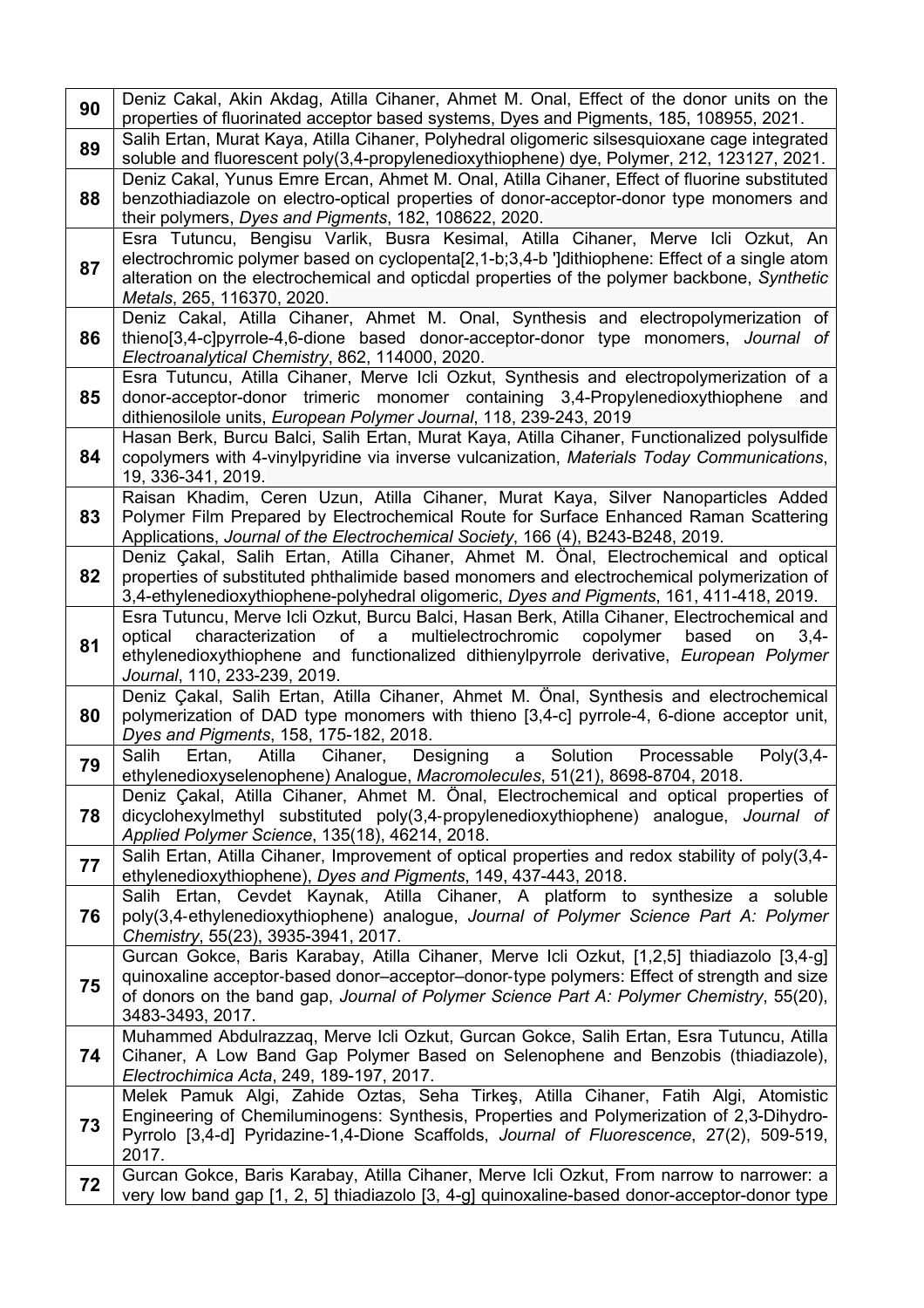| 90 | Deniz Cakal, Akin Akdag, Atilla Cihaner, Ahmet M. Onal, Effect of the donor units on the<br>properties of fluorinated acceptor based systems, Dyes and Pigments, 185, 108955, 2021.                                                                                                                                            |
|----|--------------------------------------------------------------------------------------------------------------------------------------------------------------------------------------------------------------------------------------------------------------------------------------------------------------------------------|
| 89 | Salih Ertan, Murat Kaya, Atilla Cihaner, Polyhedral oligomeric silsesquioxane cage integrated<br>soluble and fluorescent poly(3,4-propylenedioxythiophene) dye, Polymer, 212, 123127, 2021.                                                                                                                                    |
| 88 | Deniz Cakal, Yunus Emre Ercan, Ahmet M. Onal, Atilla Cihaner, Effect of fluorine substituted<br>benzothiadiazole on electro-optical properties of donor-acceptor-donor type monomers and<br>their polymers, Dyes and Pigments, 182, 108622, 2020.                                                                              |
| 87 | Esra Tutuncu, Bengisu Varlik, Busra Kesimal, Atilla Cihaner, Merve Icli Ozkut, An<br>electrochromic polymer based on cyclopenta[2,1-b;3,4-b ']dithiophene: Effect of a single atom<br>alteration on the electrochemical and opticdal properties of the polymer backbone, Synthetic<br>Metals, 265, 116370, 2020.               |
| 86 | Deniz Cakal, Atilla Cihaner, Ahmet M. Onal, Synthesis and electropolymerization of<br>thieno[3,4-c]pyrrole-4,6-dione based donor-acceptor-donor type monomers, Journal of<br>Electroanalytical Chemistry, 862, 114000, 2020.                                                                                                   |
| 85 | Esra Tutuncu, Atilla Cihaner, Merve Icli Ozkut, Synthesis and electropolymerization of a<br>donor-acceptor-donor trimeric monomer containing 3,4-Propylenedioxythiophene<br>and<br>dithienosilole units, European Polymer Journal, 118, 239-243, 2019                                                                          |
| 84 | Hasan Berk, Burcu Balci, Salih Ertan, Murat Kaya, Atilla Cihaner, Functionalized polysulfide<br>copolymers with 4-vinylpyridine via inverse vulcanization, Materials Today Communications,<br>19, 336-341, 2019.                                                                                                               |
| 83 | Raisan Khadim, Ceren Uzun, Atilla Cihaner, Murat Kaya, Silver Nanoparticles Added<br>Polymer Film Prepared by Electrochemical Route for Surface Enhanced Raman Scattering<br>Applications, Journal of the Electrochemical Society, 166 (4), B243-B248, 2019.                                                                   |
| 82 | Deniz Çakal, Salih Ertan, Atilla Cihaner, Ahmet M. Önal, Electrochemical and optical<br>properties of substituted phthalimide based monomers and electrochemical polymerization of<br>3,4-ethylenedioxythiophene-polyhedral oligomeric, Dyes and Pigments, 161, 411-418, 2019.                                                 |
| 81 | Esra Tutuncu, Merve Icli Ozkut, Burcu Balci, Hasan Berk, Atilla Cihaner, Electrochemical and<br>of<br>multielectrochromic<br>optical<br>characterization<br>a<br>copolymer<br>based<br>on<br>$3,4-$<br>ethylenedioxythiophene and functionalized dithienylpyrrole derivative, European Polymer<br>Journal, 110, 233-239, 2019. |
| 80 | Deniz Çakal, Salih Ertan, Atilla Cihaner, Ahmet M. Önal, Synthesis and electrochemical<br>polymerization of DAD type monomers with thieno [3,4-c] pyrrole-4, 6-dione acceptor unit,<br>Dyes and Pigments, 158, 175-182, 2018.                                                                                                  |
| 79 | Solution<br>Designing<br>a<br>Poly(3,4-<br>Salih<br>Atilla<br>Cihaner,<br>Processable<br>Ertan,<br>ethylenedioxyselenophene) Analogue, Macromolecules, 51(21), 8698-8704, 2018.                                                                                                                                                |
| 78 | Deniz Çakal, Atilla Cihaner, Ahmet M. Önal, Electrochemical and optical properties of<br>dicyclohexylmethyl substituted poly(3,4-propylenedioxythiophene) analogue, Journal of<br>Applied Polymer Science, 135(18), 46214, 2018.                                                                                               |
| 77 | Salih Ertan, Atilla Cihaner, Improvement of optical properties and redox stability of poly(3,4-<br>ethylenedioxythiophene), Dyes and Pigments, 149, 437-443, 2018.                                                                                                                                                             |
| 76 | Salih Ertan, Cevdet Kaynak, Atilla Cihaner, A platform to synthesize a soluble<br>poly(3,4-ethylenedioxythiophene) analogue, Journal of Polymer Science Part A: Polymer<br>Chemistry, 55(23), 3935-3941, 2017.                                                                                                                 |
| 75 | Gurcan Gokce, Baris Karabay, Atilla Cihaner, Merve Icli Ozkut, [1,2,5] thiadiazolo [3,4-g]<br>quinoxaline acceptor-based donor-acceptor-donor-type polymers: Effect of strength and size<br>of donors on the band gap, Journal of Polymer Science Part A: Polymer Chemistry, 55(20),<br>3483-3493, 2017.                       |
| 74 | Muhammed Abdulrazzaq, Merve Icli Ozkut, Gurcan Gokce, Salih Ertan, Esra Tutuncu, Atilla<br>Cihaner, A Low Band Gap Polymer Based on Selenophene and Benzobis (thiadiazole),<br>Electrochimica Acta, 249, 189-197, 2017.                                                                                                        |
| 73 | Melek Pamuk Algi, Zahide Oztas, Seha Tirkeş, Atilla Cihaner, Fatih Algi, Atomistic<br>Engineering of Chemiluminogens: Synthesis, Properties and Polymerization of 2,3-Dihydro-<br>Pyrrolo [3,4-d] Pyridazine-1,4-Dione Scaffolds, Journal of Fluorescence, 27(2), 509-519,<br>2017.                                            |
| 72 | Gurcan Gokce, Baris Karabay, Atilla Cihaner, Merve Icli Ozkut, From narrow to narrower: a<br>very low band gap [1, 2, 5] thiadiazolo [3, 4-g] quinoxaline-based donor-acceptor-donor type                                                                                                                                      |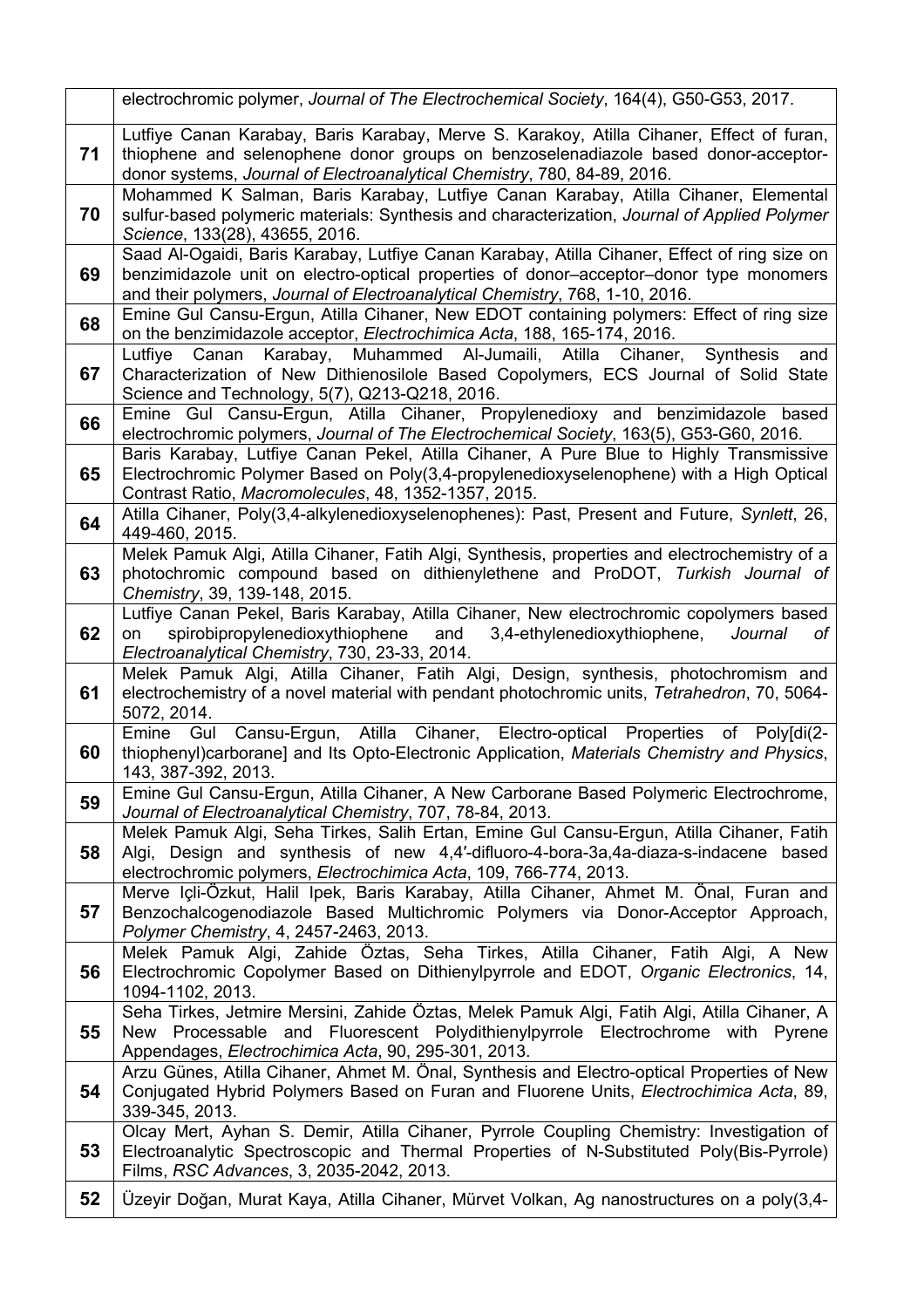|    | electrochromic polymer, Journal of The Electrochemical Society, 164(4), G50-G53, 2017.                                                                                                                                                                                 |
|----|------------------------------------------------------------------------------------------------------------------------------------------------------------------------------------------------------------------------------------------------------------------------|
| 71 | Lutfiye Canan Karabay, Baris Karabay, Merve S. Karakoy, Atilla Cihaner, Effect of furan,<br>thiophene and selenophene donor groups on benzoselenadiazole based donor-acceptor-<br>donor systems, Journal of Electroanalytical Chemistry, 780, 84-89, 2016.             |
| 70 | Mohammed K Salman, Baris Karabay, Lutfiye Canan Karabay, Atilla Cihaner, Elemental<br>sulfur-based polymeric materials: Synthesis and characterization, Journal of Applied Polymer<br>Science, 133(28), 43655, 2016.                                                   |
| 69 | Saad Al-Ogaidi, Baris Karabay, Lutfiye Canan Karabay, Atilla Cihaner, Effect of ring size on<br>benzimidazole unit on electro-optical properties of donor-acceptor-donor type monomers<br>and their polymers, Journal of Electroanalytical Chemistry, 768, 1-10, 2016. |
| 68 | Emine Gul Cansu-Ergun, Atilla Cihaner, New EDOT containing polymers: Effect of ring size<br>on the benzimidazole acceptor, Electrochimica Acta, 188, 165-174, 2016.                                                                                                    |
| 67 | Canan Karabay, Muhammed Al-Jumaili, Atilla Cihaner,<br>Lutfiye<br>Synthesis<br>and<br>Characterization of New Dithienosilole Based Copolymers, ECS Journal of Solid State<br>Science and Technology, 5(7), Q213-Q218, 2016.                                            |
| 66 | Emine Gul Cansu-Ergun, Atilla Cihaner, Propylenedioxy and benzimidazole based<br>electrochromic polymers, Journal of The Electrochemical Society, 163(5), G53-G60, 2016.                                                                                               |
| 65 | Baris Karabay, Lutfiye Canan Pekel, Atilla Cihaner, A Pure Blue to Highly Transmissive<br>Electrochromic Polymer Based on Poly(3,4-propylenedioxyselenophene) with a High Optical<br>Contrast Ratio, Macromolecules, 48, 1352-1357, 2015.                              |
| 64 | Atilla Cihaner, Poly(3,4-alkylenedioxyselenophenes): Past, Present and Future, Synlett, 26,<br>449-460, 2015.                                                                                                                                                          |
| 63 | Melek Pamuk Algi, Atilla Cihaner, Fatih Algi, Synthesis, properties and electrochemistry of a<br>photochromic compound based on dithienylethene and ProDOT, Turkish Journal of<br>Chemistry, 39, 139-148, 2015.                                                        |
| 62 | Lutfiye Canan Pekel, Baris Karabay, Atilla Cihaner, New electrochromic copolymers based<br>spirobipropylenedioxythiophene<br>3,4-ethylenedioxythiophene,<br>and<br>of<br>Journal<br>on<br>Electroanalytical Chemistry, 730, 23-33, 2014.                               |
| 61 | Melek Pamuk Algi, Atilla Cihaner, Fatih Algi, Design, synthesis, photochromism and<br>electrochemistry of a novel material with pendant photochromic units, Tetrahedron, 70, 5064-<br>5072, 2014.                                                                      |
| 60 | Cansu-Ergun, Atilla Cihaner, Electro-optical<br>Properties of Poly[di(2-<br>Emine<br>Gul<br>thiophenyl)carborane] and Its Opto-Electronic Application, Materials Chemistry and Physics,<br>143, 387-392, 2013.                                                         |
| 59 | Emine Gul Cansu-Ergun, Atilla Cihaner, A New Carborane Based Polymeric Electrochrome,<br>Journal of Electroanalytical Chemistry, 707, 78-84, 2013.                                                                                                                     |
| 58 | Melek Pamuk Algi, Seha Tirkes, Salih Ertan, Emine Gul Cansu-Ergun, Atilla Cihaner, Fatih<br>Algi, Design and synthesis of new 4,4'-difluoro-4-bora-3a,4a-diaza-s-indacene based<br>electrochromic polymers, Electrochimica Acta, 109, 766-774, 2013.                   |
| 57 | Merve Içli-Özkut, Halil Ipek, Baris Karabay, Atilla Cihaner, Ahmet M. Önal, Furan and<br>Benzochalcogenodiazole Based Multichromic Polymers via Donor-Acceptor Approach,<br>Polymer Chemistry, 4, 2457-2463, 2013.                                                     |
| 56 | Melek Pamuk Algi, Zahide Öztas, Seha Tirkes, Atilla Cihaner, Fatih Algi, A New<br>Electrochromic Copolymer Based on Dithienylpyrrole and EDOT, Organic Electronics, 14,<br>1094-1102, 2013.                                                                            |
| 55 | Seha Tirkes, Jetmire Mersini, Zahide Öztas, Melek Pamuk Algi, Fatih Algi, Atilla Cihaner, A<br>New Processable and Fluorescent Polydithienylpyrrole Electrochrome with Pyrene<br>Appendages, Electrochimica Acta, 90, 295-301, 2013.                                   |
| 54 | Arzu Günes, Atilla Cihaner, Ahmet M. Önal, Synthesis and Electro-optical Properties of New<br>Conjugated Hybrid Polymers Based on Furan and Fluorene Units, Electrochimica Acta, 89,<br>339-345, 2013.                                                                 |
| 53 | Olcay Mert, Ayhan S. Demir, Atilla Cihaner, Pyrrole Coupling Chemistry: Investigation of<br>Electroanalytic Spectroscopic and Thermal Properties of N-Substituted Poly(Bis-Pyrrole)<br>Films, RSC Advances, 3, 2035-2042, 2013.                                        |
| 52 | Üzeyir Doğan, Murat Kaya, Atilla Cihaner, Mürvet Volkan, Ag nanostructures on a poly(3,4-                                                                                                                                                                              |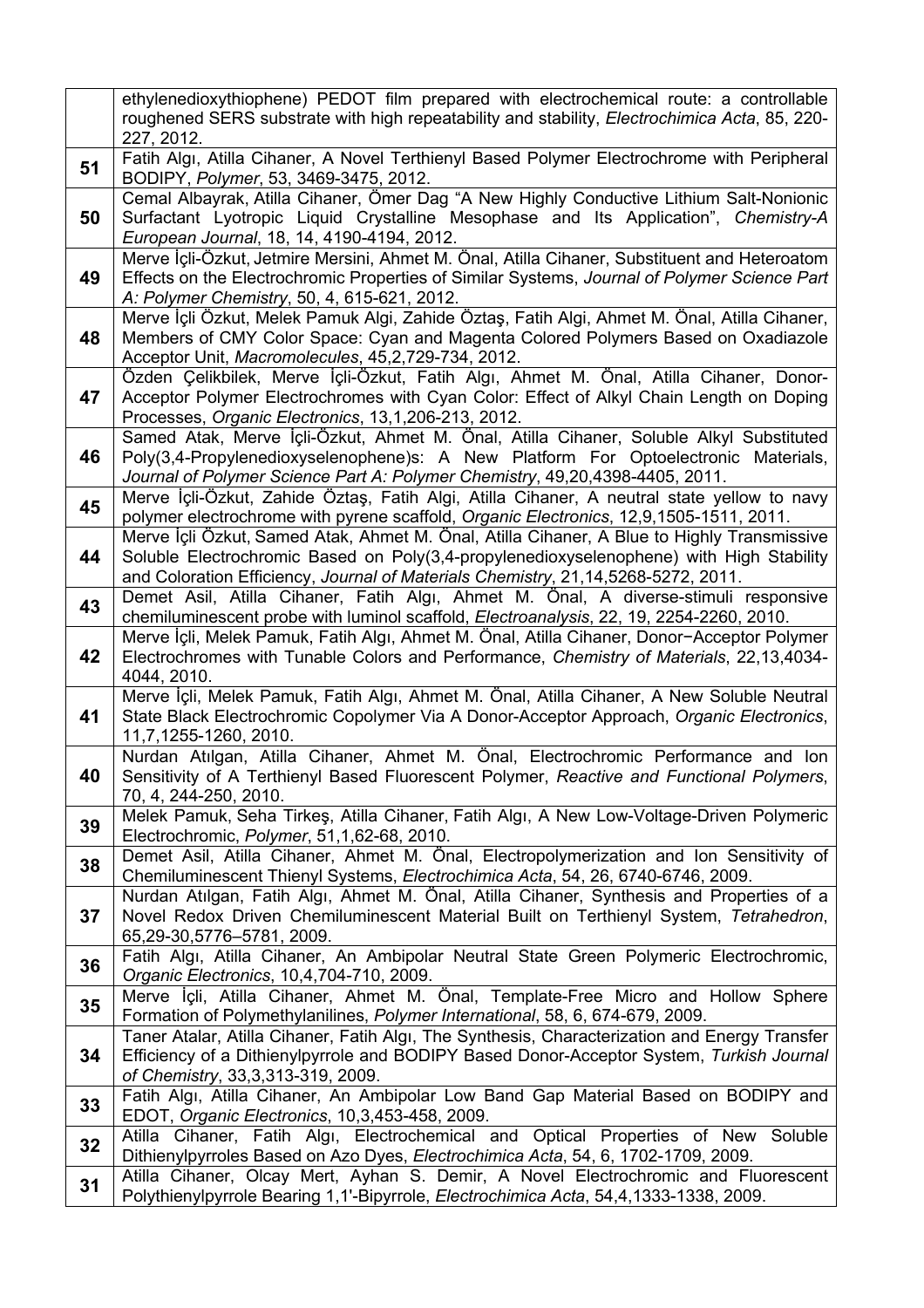|    | ethylenedioxythiophene) PEDOT film prepared with electrochemical route: a controllable<br>roughened SERS substrate with high repeatability and stability, Electrochimica Acta, 85, 220-<br>227, 2012.                                                                        |
|----|------------------------------------------------------------------------------------------------------------------------------------------------------------------------------------------------------------------------------------------------------------------------------|
| 51 | Fatih Algı, Atilla Cihaner, A Novel Terthienyl Based Polymer Electrochrome with Peripheral<br>BODIPY, Polymer, 53, 3469-3475, 2012.                                                                                                                                          |
| 50 | Cemal Albayrak, Atilla Cihaner, Ömer Dag "A New Highly Conductive Lithium Salt-Nonionic<br>Surfactant Lyotropic Liquid Crystalline Mesophase and Its Application", Chemistry-A<br>European Journal, 18, 14, 4190-4194, 2012.                                                 |
| 49 | Merve İçli-Özkut, Jetmire Mersini, Ahmet M. Önal, Atilla Cihaner, Substituent and Heteroatom<br>Effects on the Electrochromic Properties of Similar Systems, Journal of Polymer Science Part<br>A: Polymer Chemistry, 50, 4, 615-621, 2012.                                  |
| 48 | Merve İçli Özkut, Melek Pamuk Algi, Zahide Öztaş, Fatih Algi, Ahmet M. Önal, Atilla Cihaner,<br>Members of CMY Color Space: Cyan and Magenta Colored Polymers Based on Oxadiazole<br>Acceptor Unit, Macromolecules, 45,2,729-734, 2012.                                      |
| 47 | Özden Çelikbilek, Merve İçli-Özkut, Fatih Algı, Ahmet M. Önal, Atilla Cihaner, Donor-<br>Acceptor Polymer Electrochromes with Cyan Color: Effect of Alkyl Chain Length on Doping<br>Processes, Organic Electronics, 13,1,206-213, 2012.                                      |
| 46 | Samed Atak, Merve İçli-Özkut, Ahmet M. Önal, Atilla Cihaner, Soluble Alkyl Substituted<br>Poly(3,4-Propylenedioxyselenophene)s: A New Platform For Optoelectronic Materials,<br>Journal of Polymer Science Part A: Polymer Chemistry, 49,20,4398-4405, 2011.                 |
| 45 | Merve İçli-Özkut, Zahide Öztaş, Fatih Algi, Atilla Cihaner, A neutral state yellow to navy<br>polymer electrochrome with pyrene scaffold, Organic Electronics, 12,9,1505-1511, 2011.                                                                                         |
| 44 | Merve İçli Özkut, Samed Atak, Ahmet M. Önal, Atilla Cihaner, A Blue to Highly Transmissive<br>Soluble Electrochromic Based on Poly(3,4-propylenedioxyselenophene) with High Stability<br>and Coloration Efficiency, Journal of Materials Chemistry, 21, 14, 5268-5272, 2011. |
| 43 | Demet Asil, Atilla Cihaner, Fatih Algi, Ahmet M. Önal, A diverse-stimuli responsive<br>chemiluminescent probe with luminol scaffold, Electroanalysis, 22, 19, 2254-2260, 2010.                                                                                               |
| 42 | Merve İçli, Melek Pamuk, Fatih Algı, Ahmet M. Önal, Atilla Cihaner, Donor-Acceptor Polymer<br>Electrochromes with Tunable Colors and Performance, Chemistry of Materials, 22,13,4034-<br>4044, 2010.                                                                         |
| 41 | Merve İçli, Melek Pamuk, Fatih Algı, Ahmet M. Önal, Atilla Cihaner, A New Soluble Neutral<br>State Black Electrochromic Copolymer Via A Donor-Acceptor Approach, Organic Electronics,<br>11,7,1255-1260, 2010.                                                               |
| 40 | Nurdan Atılgan, Atilla Cihaner, Ahmet M. Önal, Electrochromic Performance and Ion<br>Sensitivity of A Terthienyl Based Fluorescent Polymer, Reactive and Functional Polymers,<br>70, 4, 244-250, 2010.                                                                       |
| 39 | Melek Pamuk, Seha Tirkeş, Atilla Cihaner, Fatih Algı, A New Low-Voltage-Driven Polymeric<br>Electrochromic, Polymer, 51,1,62-68, 2010.                                                                                                                                       |
| 38 | Demet Asil, Atilla Cihaner, Ahmet M. Önal, Electropolymerization and Ion Sensitivity of<br>Chemiluminescent Thienyl Systems, Electrochimica Acta, 54, 26, 6740-6746, 2009.                                                                                                   |
| 37 | Nurdan Atılgan, Fatih Algı, Ahmet M. Önal, Atilla Cihaner, Synthesis and Properties of a<br>Novel Redox Driven Chemiluminescent Material Built on Terthienyl System, Tetrahedron,<br>65,29-30,5776-5781, 2009.                                                               |
| 36 | Fatih Algı, Atilla Cihaner, An Ambipolar Neutral State Green Polymeric Electrochromic,<br>Organic Electronics, 10,4,704-710, 2009.                                                                                                                                           |
| 35 | Merve İçli, Atilla Cihaner, Ahmet M. Önal, Template-Free Micro and Hollow Sphere<br>Formation of Polymethylanilines, Polymer International, 58, 6, 674-679, 2009.                                                                                                            |
| 34 | Taner Atalar, Atilla Cihaner, Fatih Algi, The Synthesis, Characterization and Energy Transfer<br>Efficiency of a Dithienylpyrrole and BODIPY Based Donor-Acceptor System, Turkish Journal<br>of Chemistry, 33,3,313-319, 2009.                                               |
| 33 | Fatih Algı, Atilla Cihaner, An Ambipolar Low Band Gap Material Based on BODIPY and<br>EDOT, Organic Electronics, 10,3,453-458, 2009.                                                                                                                                         |
| 32 | Atilla Cihaner, Fatih Algi, Electrochemical and Optical Properties of New Soluble<br>Dithienylpyrroles Based on Azo Dyes, Electrochimica Acta, 54, 6, 1702-1709, 2009.                                                                                                       |
| 31 | Atilla Cihaner, Olcay Mert, Ayhan S. Demir, A Novel Electrochromic and Fluorescent<br>Polythienylpyrrole Bearing 1,1'-Bipyrrole, Electrochimica Acta, 54,4,1333-1338, 2009.                                                                                                  |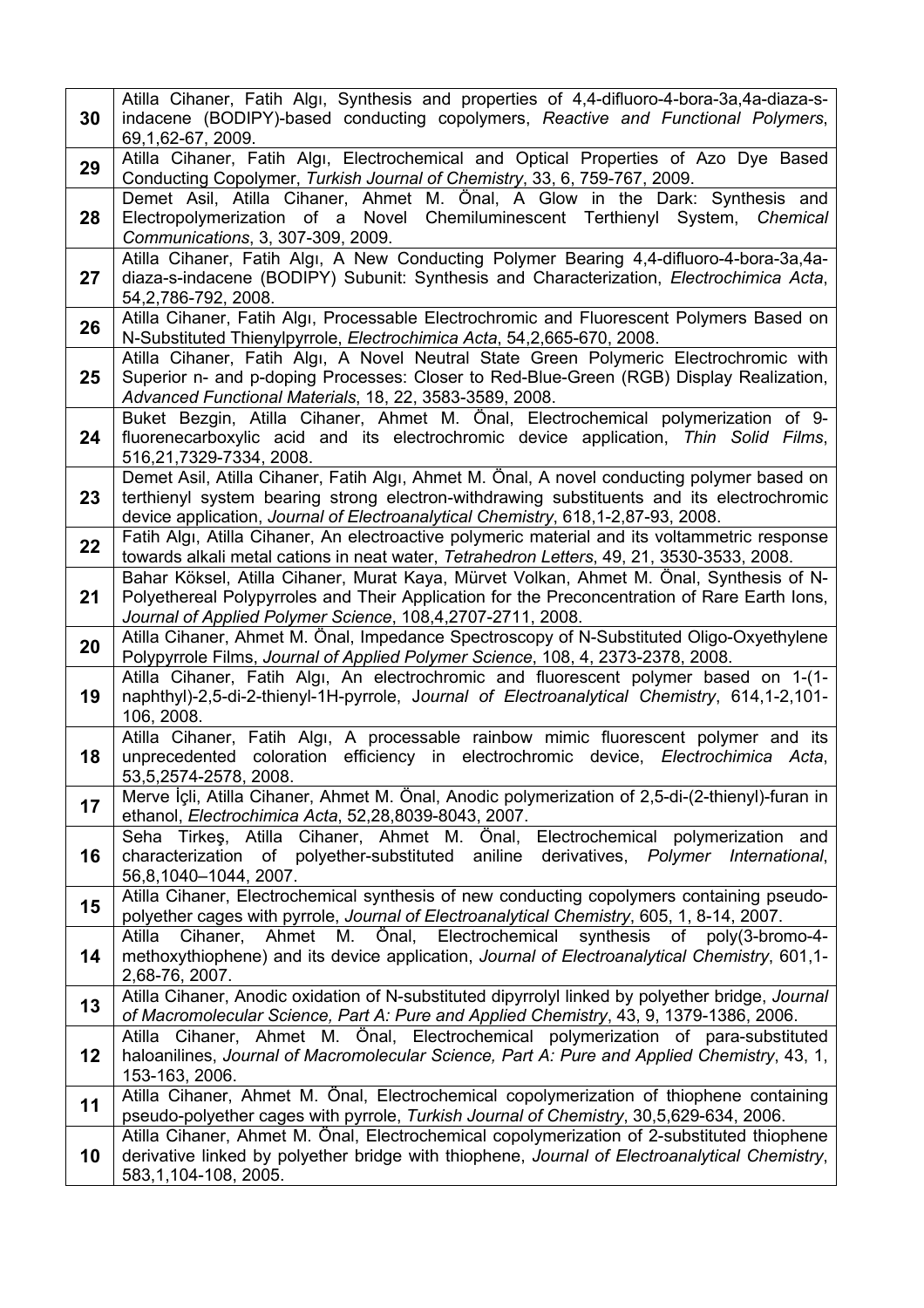| 30 | Atilla Cihaner, Fatih Algi, Synthesis and properties of 4,4-difluoro-4-bora-3a,4a-diaza-s-<br>indacene (BODIPY)-based conducting copolymers, Reactive and Functional Polymers,<br>69, 1, 62-67, 2009.                                                                       |
|----|-----------------------------------------------------------------------------------------------------------------------------------------------------------------------------------------------------------------------------------------------------------------------------|
| 29 | Atilla Cihaner, Fatih Algı, Electrochemical and Optical Properties of Azo Dye Based<br>Conducting Copolymer, Turkish Journal of Chemistry, 33, 6, 759-767, 2009.                                                                                                            |
| 28 | Demet Asil, Atilla Cihaner, Ahmet M. Önal, A Glow in the Dark: Synthesis and<br>Electropolymerization of a Novel Chemiluminescent Terthienyl System, Chemical<br>Communications, 3, 307-309, 2009.                                                                          |
| 27 | Atilla Cihaner, Fatih Algı, A New Conducting Polymer Bearing 4,4-difluoro-4-bora-3a,4a-<br>diaza-s-indacene (BODIPY) Subunit: Synthesis and Characterization, Electrochimica Acta,<br>54, 2, 786-792, 2008.                                                                 |
| 26 | Atilla Cihaner, Fatih Algı, Processable Electrochromic and Fluorescent Polymers Based on<br>N-Substituted Thienylpyrrole, Electrochimica Acta, 54,2,665-670, 2008.                                                                                                          |
| 25 | Atilla Cihaner, Fatih Algı, A Novel Neutral State Green Polymeric Electrochromic with<br>Superior n- and p-doping Processes: Closer to Red-Blue-Green (RGB) Display Realization,<br>Advanced Functional Materials, 18, 22, 3583-3589, 2008.                                 |
| 24 | Buket Bezgin, Atilla Cihaner, Ahmet M. Önal, Electrochemical polymerization of 9-<br>fluorenecarboxylic acid and its electrochromic device application, Thin Solid Films,<br>516,21,7329-7334, 2008.                                                                        |
| 23 | Demet Asil, Atilla Cihaner, Fatih Algı, Ahmet M. Önal, A novel conducting polymer based on<br>terthienyl system bearing strong electron-withdrawing substituents and its electrochromic<br>device application, Journal of Electroanalytical Chemistry, 618,1-2,87-93, 2008. |
| 22 | Fatih Algi, Atilla Cihaner, An electroactive polymeric material and its voltammetric response<br>towards alkali metal cations in neat water, Tetrahedron Letters, 49, 21, 3530-3533, 2008.                                                                                  |
| 21 | Bahar Köksel, Atilla Cihaner, Murat Kaya, Mürvet Volkan, Ahmet M. Önal, Synthesis of N-<br>Polyethereal Polypyrroles and Their Application for the Preconcentration of Rare Earth lons,<br>Journal of Applied Polymer Science, 108,4,2707-2711, 2008.                       |
| 20 | Atilla Cihaner, Ahmet M. Önal, Impedance Spectroscopy of N-Substituted Oligo-Oxyethylene<br>Polypyrrole Films, Journal of Applied Polymer Science, 108, 4, 2373-2378, 2008.                                                                                                 |
| 19 | Atilla Cihaner, Fatih Algı, An electrochromic and fluorescent polymer based on 1-(1-<br>naphthyl)-2,5-di-2-thienyl-1H-pyrrole, Journal of Electroanalytical Chemistry, 614,1-2,101-<br>106, 2008.                                                                           |
| 18 | Atilla Cihaner, Fatih Algı, A processable rainbow mimic fluorescent polymer and its<br>unprecedented coloration efficiency in electrochromic device, Electrochimica Acta,<br>53, 5, 2574-2578, 2008.                                                                        |
| 17 | Merve İçli, Atilla Cihaner, Ahmet M. Önal, Anodic polymerization of 2,5-di-(2-thienyl)-furan in<br>ethanol, Electrochimica Acta, 52,28,8039-8043, 2007.                                                                                                                     |
| 16 | Seha Tirkes, Atilla Cihaner, Ahmet M. Önal,<br>Electrochemical polymerization and<br>characterization of polyether-substituted aniline<br>derivatives, Polymer International,<br>56,8,1040-1044, 2007.                                                                      |
| 15 | Atilla Cihaner, Electrochemical synthesis of new conducting copolymers containing pseudo-<br>polyether cages with pyrrole, Journal of Electroanalytical Chemistry, 605, 1, 8-14, 2007.                                                                                      |
| 14 | Ahmet<br>M. Önal, Electrochemical<br>synthesis of<br>Cihaner,<br>poly(3-bromo-4-<br>Atilla<br>methoxythiophene) and its device application, Journal of Electroanalytical Chemistry, 601,1-<br>2,68-76, 2007.                                                                |
| 13 | Atilla Cihaner, Anodic oxidation of N-substituted dipyrrolyl linked by polyether bridge, Journal<br>of Macromolecular Science, Part A: Pure and Applied Chemistry, 43, 9, 1379-1386, 2006.                                                                                  |
| 12 | Atilla Cihaner, Ahmet M. Önal, Electrochemical polymerization of para-substituted<br>haloanilines, Journal of Macromolecular Science, Part A: Pure and Applied Chemistry, 43, 1,<br>153-163, 2006.                                                                          |
| 11 | Atilla Cihaner, Ahmet M. Önal, Electrochemical copolymerization of thiophene containing<br>pseudo-polyether cages with pyrrole, Turkish Journal of Chemistry, 30,5,629-634, 2006.                                                                                           |
| 10 | Atilla Cihaner, Ahmet M. Önal, Electrochemical copolymerization of 2-substituted thiophene<br>derivative linked by polyether bridge with thiophene, Journal of Electroanalytical Chemistry,<br>583,1,104-108, 2005.                                                         |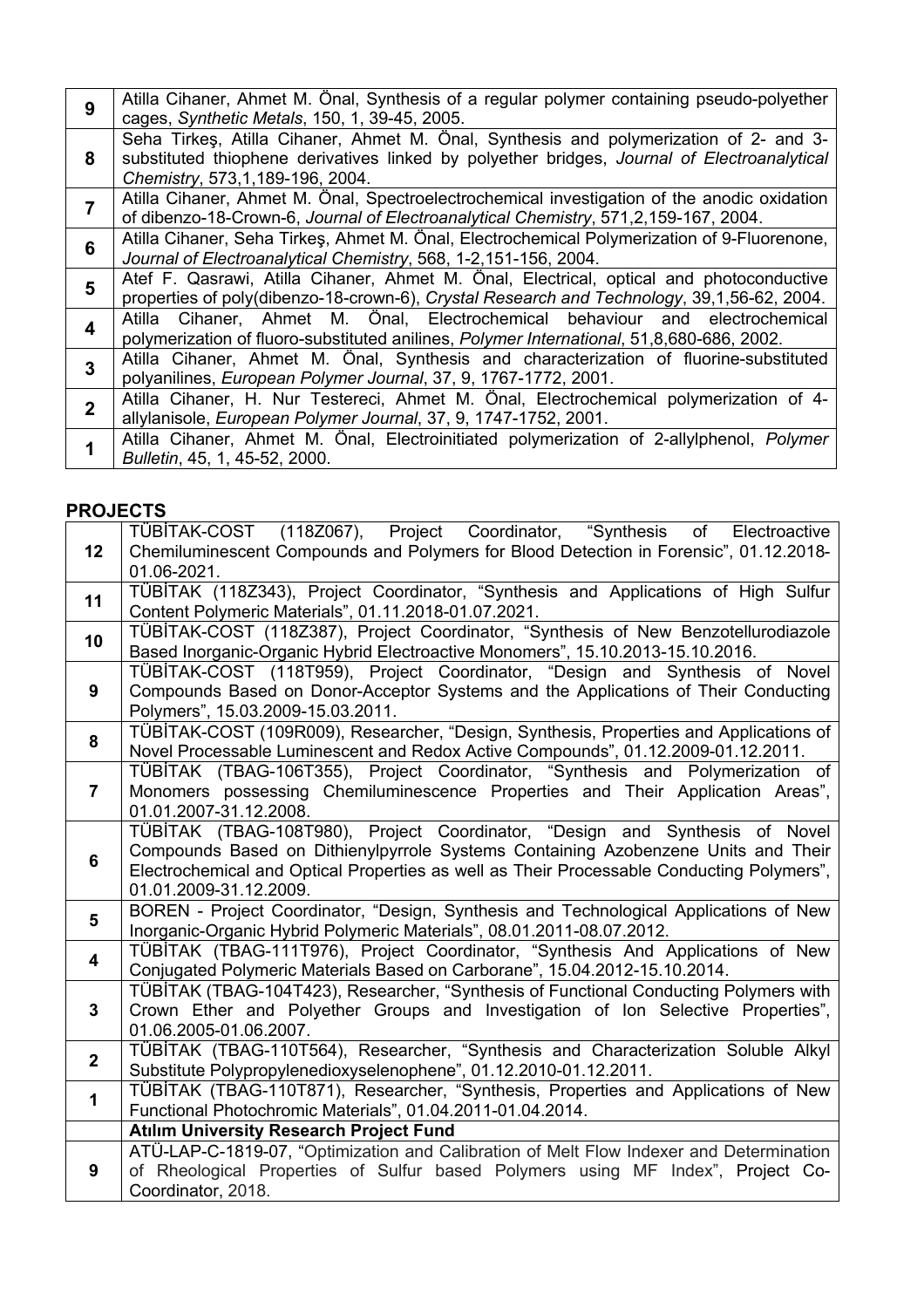| 9              | Atilla Cihaner, Ahmet M. Önal, Synthesis of a regular polymer containing pseudo-polyether<br>cages, Synthetic Metals, 150, 1, 39-45, 2005. |
|----------------|--------------------------------------------------------------------------------------------------------------------------------------------|
|                | Seha Tirkes, Atilla Cihaner, Ahmet M. Önal, Synthesis and polymerization of 2- and 3-                                                      |
| 8              | substituted thiophene derivatives linked by polyether bridges, Journal of Electroanalytical<br>Chemistry, 573, 1, 189-196, 2004.           |
|                | Atilla Cihaner, Ahmet M. Önal, Spectroelectrochemical investigation of the anodic oxidation                                                |
|                | of dibenzo-18-Crown-6, Journal of Electroanalytical Chemistry, 571,2,159-167, 2004.                                                        |
| 6              | Atilla Cihaner, Seha Tirkes, Ahmet M. Önal, Electrochemical Polymerization of 9-Fluorenone,                                                |
|                | Journal of Electroanalytical Chemistry, 568, 1-2, 151-156, 2004.                                                                           |
|                | Atef F. Qasrawi, Atilla Cihaner, Ahmet M. Önal, Electrical, optical and photoconductive                                                    |
| 5              | properties of poly(dibenzo-18-crown-6), Crystal Research and Technology, 39,1,56-62, 2004.                                                 |
| 4              | Atilla Cihaner, Ahmet M. Önal, Electrochemical behaviour<br>and electrochemical                                                            |
|                | polymerization of fluoro-substituted anilines, Polymer International, 51,8,680-686, 2002.                                                  |
|                | Atilla Cihaner, Ahmet M. Önal, Synthesis and characterization of fluorine-substituted                                                      |
| 3              | polyanilines, European Polymer Journal, 37, 9, 1767-1772, 2001.                                                                            |
| $\overline{2}$ | Atilla Cihaner, H. Nur Testereci, Ahmet M. Önal, Electrochemical polymerization of 4-                                                      |
|                | allylanisole, European Polymer Journal, 37, 9, 1747-1752, 2001.                                                                            |
|                | Atilla Cihaner, Ahmet M. Önal, Electroinitiated polymerization of 2-allylphenol, Polymer                                                   |
|                | Bulletin, 45, 1, 45-52, 2000.                                                                                                              |

## **PROJECTS**

| 12                      | TÜBİTAK-COST (118Z067), Project Coordinator, "Synthesis of Electroactive                                                    |
|-------------------------|-----------------------------------------------------------------------------------------------------------------------------|
|                         | Chemiluminescent Compounds and Polymers for Blood Detection in Forensic", 01.12.2018-                                       |
|                         | 01.06-2021.                                                                                                                 |
| 11                      | TÜBİTAK (118Z343), Project Coordinator, "Synthesis and Applications of High Sulfur                                          |
|                         | Content Polymeric Materials", 01.11.2018-01.07.2021.                                                                        |
| 10                      | TÜBİTAK-COST (118Z387), Project Coordinator, "Synthesis of New Benzotellurodiazole                                          |
|                         | Based Inorganic-Organic Hybrid Electroactive Monomers", 15.10.2013-15.10.2016.                                              |
|                         | TÜBİTAK-COST (118T959), Project Coordinator, "Design and Synthesis of Novel                                                 |
| 9                       | Compounds Based on Donor-Acceptor Systems and the Applications of Their Conducting                                          |
|                         | Polymers", 15.03.2009-15.03.2011.<br>TÜBİTAK-COST (109R009), Researcher, "Design, Synthesis, Properties and Applications of |
| 8                       | Novel Processable Luminescent and Redox Active Compounds", 01.12.2009-01.12.2011.                                           |
|                         | TÜBİTAK (TBAG-106T355), Project Coordinator, "Synthesis and Polymerization of                                               |
| $\overline{7}$          | Monomers possessing Chemiluminescence Properties and Their Application Areas",                                              |
|                         | 01.01.2007-31.12.2008.                                                                                                      |
|                         | TÜBİTAK (TBAG-108T980), Project Coordinator, "Design and Synthesis of Novel                                                 |
|                         | Compounds Based on Dithienylpyrrole Systems Containing Azobenzene Units and Their                                           |
| $6\phantom{a}$          | Electrochemical and Optical Properties as well as Their Processable Conducting Polymers",                                   |
|                         | 01.01.2009-31.12.2009.                                                                                                      |
| 5                       | BOREN - Project Coordinator, "Design, Synthesis and Technological Applications of New                                       |
|                         | Inorganic-Organic Hybrid Polymeric Materials", 08.01.2011-08.07.2012.                                                       |
| $\overline{\mathbf{4}}$ | TÜBİTAK (TBAG-111T976), Project Coordinator, "Synthesis And Applications of New                                             |
|                         | Conjugated Polymeric Materials Based on Carborane", 15.04.2012-15.10.2014.                                                  |
|                         | TÜBİTAK (TBAG-104T423), Researcher, "Synthesis of Functional Conducting Polymers with                                       |
| $3\phantom{a}$          | Crown Ether and Polyether Groups and Investigation of Ion Selective Properties",                                            |
|                         | 01.06.2005-01.06.2007.<br>TÜBİTAK (TBAG-110T564), Researcher, "Synthesis and Characterization Soluble Alkyl                 |
| $\mathbf{2}$            | Substitute Polypropylenedioxyselenophene", 01.12.2010-01.12.2011.                                                           |
|                         | TÜBİTAK (TBAG-110T871), Researcher, "Synthesis, Properties and Applications of New                                          |
| $\mathbf{1}$            | Functional Photochromic Materials", 01.04.2011-01.04.2014.                                                                  |
|                         | <b>Atılım University Research Project Fund</b>                                                                              |
|                         | ATÜ-LAP-C-1819-07, "Optimization and Calibration of Melt Flow Indexer and Determination                                     |
| 9                       | of Rheological Properties of Sulfur based Polymers using MF Index", Project Co-                                             |
|                         | Coordinator, 2018.                                                                                                          |
|                         |                                                                                                                             |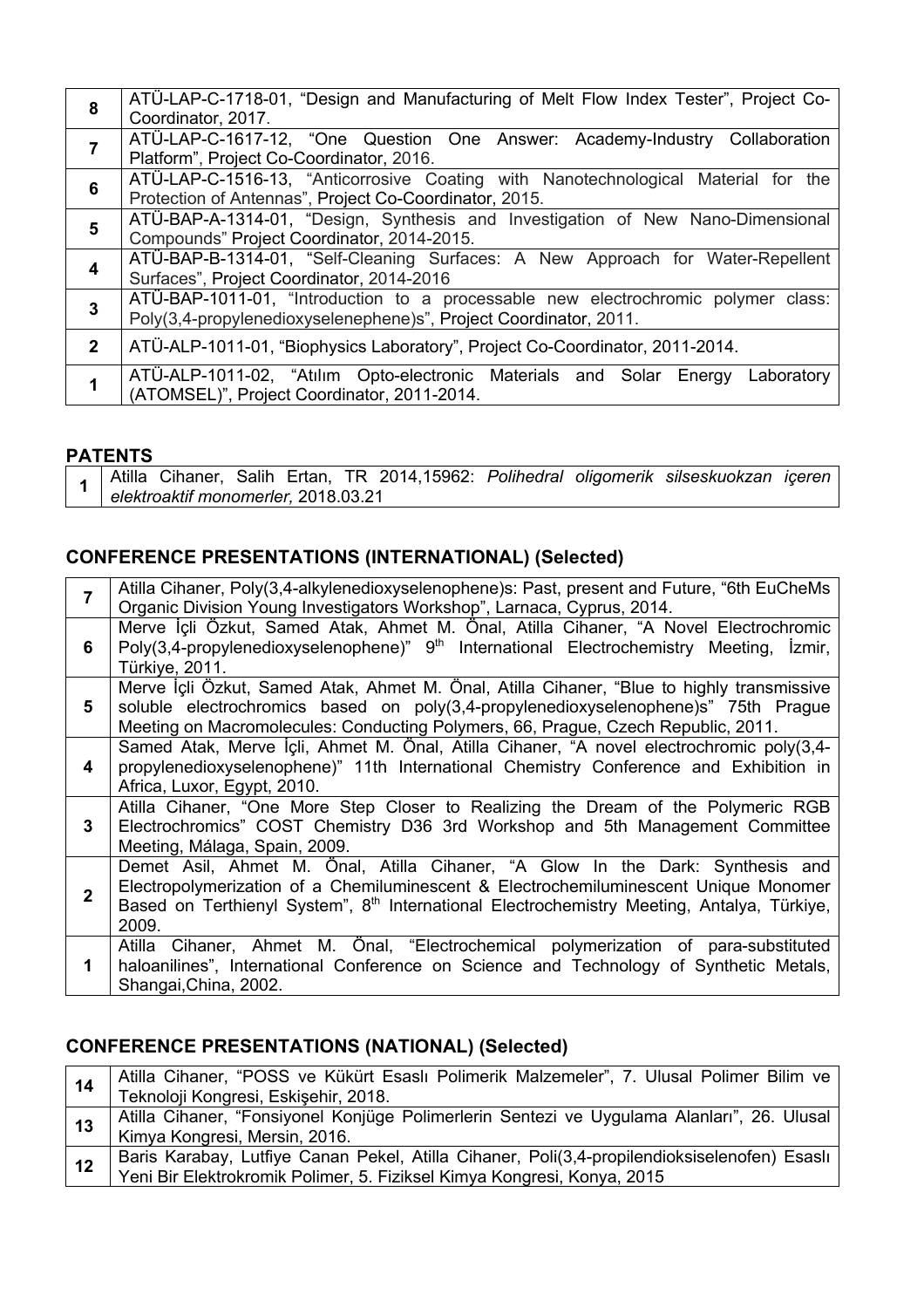| 8              | ATÜ-LAP-C-1718-01, "Design and Manufacturing of Melt Flow Index Tester", Project Co-<br>Coordinator, 2017.                                             |
|----------------|--------------------------------------------------------------------------------------------------------------------------------------------------------|
| $\overline{7}$ | ATÜ-LAP-C-1617-12, "One Question One Answer: Academy-Industry Collaboration<br>Platform", Project Co-Coordinator, 2016.                                |
| 6              | ATÜ-LAP-C-1516-13, "Anticorrosive Coating with Nanotechnological Material for the<br>Protection of Antennas", Project Co-Coordinator, 2015.            |
| 5              | ATÜ-BAP-A-1314-01, "Design, Synthesis and Investigation of New Nano-Dimensional<br>Compounds" Project Coordinator, 2014-2015.                          |
| 4              | ATÜ-BAP-B-1314-01, "Self-Cleaning Surfaces: A New Approach for Water-Repellent<br>Surfaces", Project Coordinator, 2014-2016                            |
| 3              | ATÜ-BAP-1011-01, "Introduction to a processable new electrochromic polymer class:<br>Poly(3,4-propylenedioxyselenephene)s", Project Coordinator, 2011. |
| $\mathbf{2}$   | ATÜ-ALP-1011-01, "Biophysics Laboratory", Project Co-Coordinator, 2011-2014.                                                                           |
| 1              | ATÜ-ALP-1011-02, "Atılım Opto-electronic Materials and Solar Energy<br>Laboratory<br>(ATOMSEL)", Project Coordinator, 2011-2014.                       |

#### **PATENTS**

|  |                                     |  |  |  | Atilla Cihaner, Salih Ertan, TR 2014,15962: Polihedral oligomerik silseskuokzan içeren |  |
|--|-------------------------------------|--|--|--|----------------------------------------------------------------------------------------|--|
|  | elektroaktif monomerler, 2018.03.21 |  |  |  |                                                                                        |  |

## **CONFERENCE PRESENTATIONS (INTERNATIONAL) (Selected)**

| $\overline{7}$ | Atilla Cihaner, Poly(3,4-alkylenedioxyselenophene)s: Past, present and Future, "6th EuCheMs<br>Organic Division Young Investigators Workshop", Larnaca, Cyprus, 2014.                                                                                                                    |
|----------------|------------------------------------------------------------------------------------------------------------------------------------------------------------------------------------------------------------------------------------------------------------------------------------------|
| 6              | Merve İçli Özkut, Samed Atak, Ahmet M. Önal, Atilla Cihaner, "A Novel Electrochromic<br>Poly(3,4-propylenedioxyselenophene)" 9 <sup>th</sup> International Electrochemistry Meeting, İzmir,<br>Türkiye, 2011.                                                                            |
| 5              | Merve İçli Özkut, Samed Atak, Ahmet M. Önal, Atilla Cihaner, "Blue to highly transmissive<br>soluble electrochromics based on poly(3,4-propylenedioxyselenophene)s" 75th Prague<br>Meeting on Macromolecules: Conducting Polymers, 66, Prague, Czech Republic, 2011.                     |
| 4              | Samed Atak, Merve İçli, Ahmet M. Önal, Atilla Cihaner, "A novel electrochromic poly(3,4-<br>propylenedioxyselenophene)" 11th International Chemistry Conference and Exhibition in<br>Africa, Luxor, Egypt, 2010.                                                                         |
| 3              | Atilla Cihaner, "One More Step Closer to Realizing the Dream of the Polymeric RGB<br>Electrochromics" COST Chemistry D36 3rd Workshop and 5th Management Committee<br>Meeting, Málaga, Spain, 2009.                                                                                      |
| $\overline{2}$ | Demet Asil, Ahmet M. Önal, Atilla Cihaner, "A Glow In the Dark: Synthesis and<br>Electropolymerization of a Chemiluminescent & Electrochemiluminescent Unique Monomer<br>Based on Terthienyl System", 8 <sup>th</sup> International Electrochemistry Meeting, Antalya, Türkiye,<br>2009. |
| 1              | Cihaner, Ahmet M. Önal, "Electrochemical polymerization of para-substituted<br>Atilla<br>haloanilines", International Conference on Science and Technology of Synthetic Metals,<br>Shangai, China, 2002.                                                                                 |

## **CONFERENCE PRESENTATIONS (NATIONAL) (Selected)**

| 14 | Atilla Cihaner, "POSS ve Kükürt Esaslı Polimerik Malzemeler", 7. Ulusal Polimer Bilim ve İ<br>Teknoloji Kongresi, Eskişehir, 2018.                                        |
|----|---------------------------------------------------------------------------------------------------------------------------------------------------------------------------|
| 13 | Atilla Cihaner, "Fonsiyonel Konjüge Polimerlerin Sentezi ve Uygulama Alanları", 26. Ulusal<br>Kimya Kongresi, Mersin, 2016.                                               |
| 12 | Baris Karabay, Lutfiye Canan Pekel, Atilla Cihaner, Poli(3,4-propilendioksiselenofen) Esaslı  <br>Yeni Bir Elektrokromik Polimer, 5. Fiziksel Kimya Kongresi, Konya, 2015 |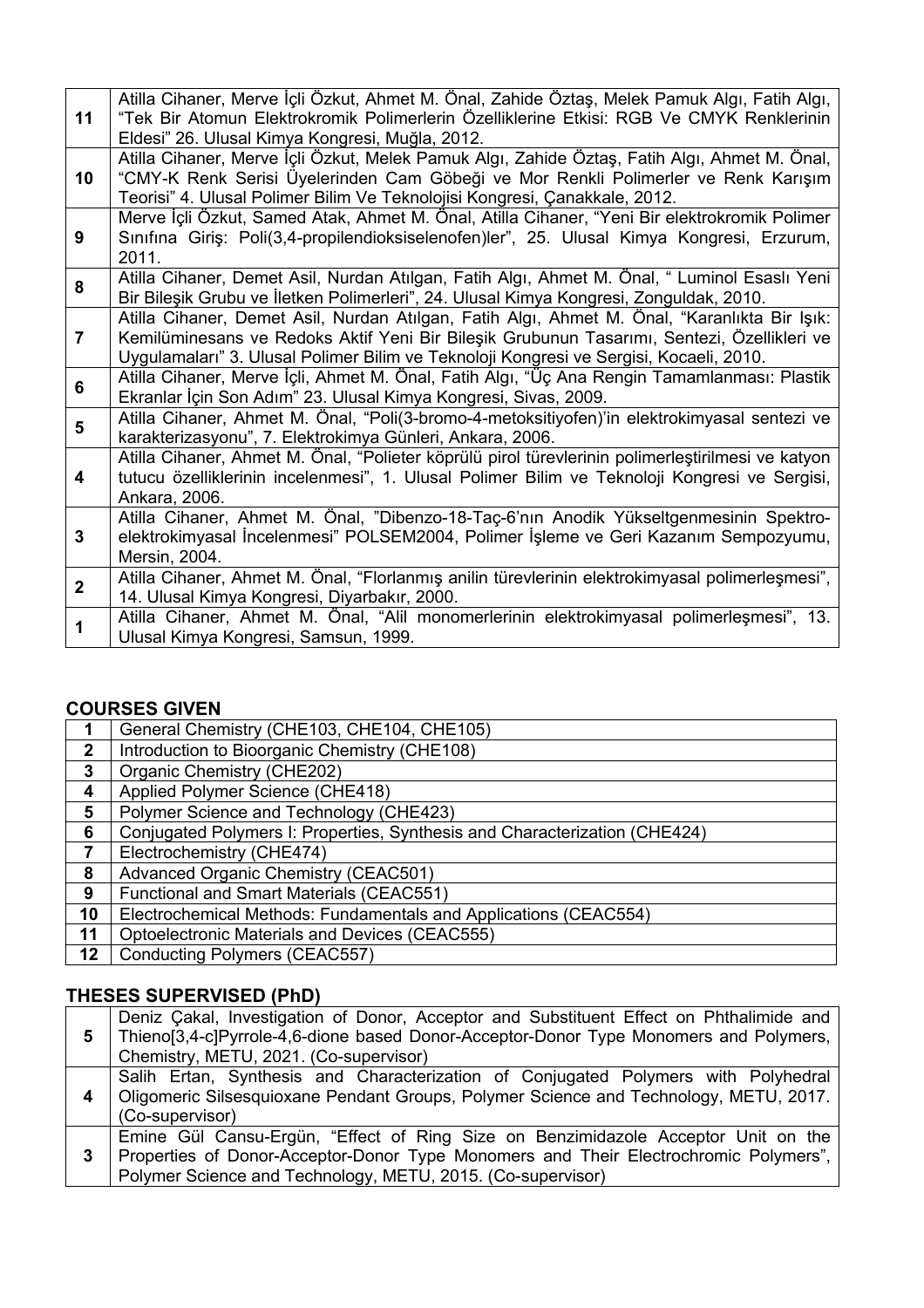| 11             | Atilla Cihaner, Merve İçli Özkut, Ahmet M. Önal, Zahide Öztaş, Melek Pamuk Algı, Fatih Algı,<br>"Tek Bir Atomun Elektrokromik Polimerlerin Özelliklerine Etkisi: RGB Ve CMYK Renklerinin<br>Eldesi" 26. Ulusal Kimya Kongresi, Muğla, 2012.                                          |
|----------------|--------------------------------------------------------------------------------------------------------------------------------------------------------------------------------------------------------------------------------------------------------------------------------------|
| 10             | Atilla Cihaner, Merve İçli Özkut, Melek Pamuk Algı, Zahide Öztaş, Fatih Algı, Ahmet M. Önal,<br>"CMY-K Renk Serisi Üyelerinden Cam Göbeği ve Mor Renkli Polimerler ve Renk Karışım<br>Teorisi" 4. Ulusal Polimer Bilim Ve Teknolojisi Kongresi, Çanakkale, 2012.                     |
| 9              | Merve İçli Özkut, Samed Atak, Ahmet M. Önal, Atilla Cihaner, "Yeni Bir elektrokromik Polimer<br>Sınıfına Giriş: Poli(3,4-propilendioksiselenofen)ler", 25. Ulusal Kimya Kongresi, Erzurum,<br>2011.                                                                                  |
| 8              | Atilla Cihaner, Demet Asil, Nurdan Atılgan, Fatih Algı, Ahmet M. Önal, " Luminol Esaslı Yeni<br>Bir Bileşik Grubu ve İletken Polimerleri", 24. Ulusal Kimya Kongresi, Zonguldak, 2010.                                                                                               |
| $\overline{7}$ | Atilla Cihaner, Demet Asil, Nurdan Atılgan, Fatih Algı, Ahmet M. Önal, "Karanlıkta Bir Işık:<br>Kemilüminesans ve Redoks Aktif Yeni Bir Bileşik Grubunun Tasarımı, Sentezi, Özellikleri ve<br>Uygulamaları" 3. Ulusal Polimer Bilim ve Teknoloji Kongresi ve Sergisi, Kocaeli, 2010. |
| 6              | Atilla Cihaner, Merve İçli, Ahmet M. Önal, Fatih Algı, "Üç Ana Rengin Tamamlanması: Plastik<br>Ekranlar İçin Son Adım" 23. Ulusal Kimya Kongresi, Sivas, 2009.                                                                                                                       |
| 5              | Atilla Cihaner, Ahmet M. Önal, "Poli(3-bromo-4-metoksitiyofen)'in elektrokimyasal sentezi ve<br>karakterizasyonu", 7. Elektrokimya Günleri, Ankara, 2006.                                                                                                                            |
| 4              | Atilla Cihaner, Ahmet M. Önal, "Polieter köprülü pirol türevlerinin polimerleştirilmesi ve katyon<br>tutucu özelliklerinin incelenmesi", 1. Ulusal Polimer Bilim ve Teknoloji Kongresi ve Sergisi,<br>Ankara, 2006.                                                                  |
| 3              | Atilla Cihaner, Ahmet M. Önal, "Dibenzo-18-Taç-6'nın Anodik Yükseltgenmesinin Spektro-<br>elektrokimyasal İncelenmesi" POLSEM2004, Polimer İşleme ve Geri Kazanım Sempozyumu,<br>Mersin, 2004.                                                                                       |
| $\overline{2}$ | Atilla Cihaner, Ahmet M. Önal, "Florlanmış anilin türevlerinin elektrokimyasal polimerleşmesi",<br>14. Ulusal Kimya Kongresi, Diyarbakır, 2000.                                                                                                                                      |
| 1              | Atilla Cihaner, Ahmet M. Önal, "Alil monomerlerinin elektrokimyasal polimerleşmesi", 13.<br>Ulusal Kimya Kongresi, Samsun, 1999.                                                                                                                                                     |

## **COURSES GIVEN**

|    | General Chemistry (CHE103, CHE104, CHE105)                                 |
|----|----------------------------------------------------------------------------|
| 2  | Introduction to Bioorganic Chemistry (CHE108)                              |
| 3  | Organic Chemistry (CHE202)                                                 |
| 4  | Applied Polymer Science (CHE418)                                           |
| 5  | Polymer Science and Technology (CHE423)                                    |
| 6  | Conjugated Polymers I: Properties, Synthesis and Characterization (CHE424) |
|    | Electrochemistry (CHE474)                                                  |
| 8  | Advanced Organic Chemistry (CEAC501)                                       |
| 9  | Functional and Smart Materials (CEAC551)                                   |
| 10 | Electrochemical Methods: Fundamentals and Applications (CEAC554)           |
| 11 | Optoelectronic Materials and Devices (CEAC555)                             |
| 12 | Conducting Polymers (CEAC557)                                              |

## **THESES SUPERVISED (PhD)**

| 5 | Deniz Çakal, Investigation of Donor, Acceptor and Substituent Effect on Phthalimide and<br>Thieno[3,4-c]Pyrrole-4,6-dione based Donor-Acceptor-Donor Type Monomers and Polymers, |
|---|----------------------------------------------------------------------------------------------------------------------------------------------------------------------------------|
|   | Chemistry, METU, 2021. (Co-supervisor)                                                                                                                                           |
|   | Salih Ertan, Synthesis and Characterization of Conjugated Polymers with Polyhedral<br>Oligomeric Silsesquioxane Pendant Groups, Polymer Science and Technology, METU, 2017.      |
|   | (Co-supervisor)                                                                                                                                                                  |
| 3 | Emine Gül Cansu-Ergün, "Effect of Ring Size on Benzimidazole Acceptor Unit on the<br>Properties of Donor-Acceptor-Donor Type Monomers and Their Electrochromic Polymers",        |
|   | Polymer Science and Technology, METU, 2015. (Co-supervisor)                                                                                                                      |